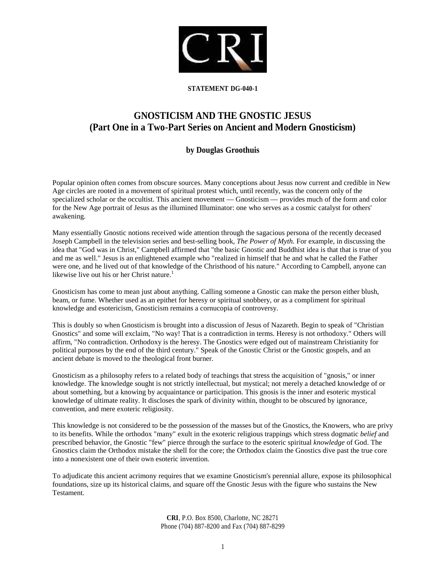

## **STATEMENT DG-040-1**

# **GNOSTICISM AND THE GNOSTIC JESUS (Part One in a Two-Part Series on Ancient and Modern Gnosticism)**

# **by Douglas Groothuis**

Popular opinion often comes from obscure sources. Many conceptions about Jesus now current and credible in New Age circles are rooted in a movement of spiritual protest which, until recently, was the concern only of the specialized scholar or the occultist. This ancient movement — Gnosticism — provides much of the form and color for the New Age portrait of Jesus as the illumined Illuminator: one who serves as a cosmic catalyst for others' awakening.

Many essentially Gnostic notions received wide attention through the sagacious persona of the recently deceased Joseph Campbell in the television series and best-selling book, *The Power of Myth.* For example, in discussing the idea that "God was in Christ," Campbell affirmed that "the basic Gnostic and Buddhist idea is that that is true of you and me as well." Jesus is an enlightened example who "realized in himself that he and what he called the Father were one, and he lived out of that knowledge of the Christhood of his nature." According to Campbell, anyone can likewise live out his or her Christ nature.<sup>1</sup>

Gnosticism has come to mean just about anything. Calling someone a Gnostic can make the person either blush, beam, or fume. Whether used as an epithet for heresy or spiritual snobbery, or as a compliment for spiritual knowledge and esotericism, Gnosticism remains a cornucopia of controversy.

This is doubly so when Gnosticism is brought into a discussion of Jesus of Nazareth. Begin to speak of "Christian Gnostics" and some will exclaim, "No way! That is a contradiction in terms. Heresy is not orthodoxy." Others will affirm, "No contradiction. Orthodoxy is the heresy. The Gnostics were edged out of mainstream Christianity for political purposes by the end of the third century." Speak of the Gnostic Christ or the Gnostic gospels, and an ancient debate is moved to the theological front burner.

Gnosticism as a philosophy refers to a related body of teachings that stress the acquisition of "gnosis," or inner knowledge. The knowledge sought is not strictly intellectual, but mystical; not merely a detached knowledge of or about something, but a knowing by acquaintance or participation. This gnosis is the inner and esoteric mystical knowledge of ultimate reality. It discloses the spark of divinity within, thought to be obscured by ignorance, convention, and mere exoteric religiosity.

This knowledge is not considered to be the possession of the masses but of the Gnostics, the Knowers, who are privy to its benefits. While the orthodox "many" exult in the exoteric religious trappings which stress dogmatic *belief* and prescribed behavior, the Gnostic "few" pierce through the surface to the esoteric spiritual *knowledge* of God. The Gnostics claim the Orthodox mistake the shell for the core; the Orthodox claim the Gnostics dive past the true core into a nonexistent one of their own esoteric invention.

To adjudicate this ancient acrimony requires that we examine Gnosticism's perennial allure, expose its philosophical foundations, size up its historical claims, and square off the Gnostic Jesus with the figure who sustains the New Testament.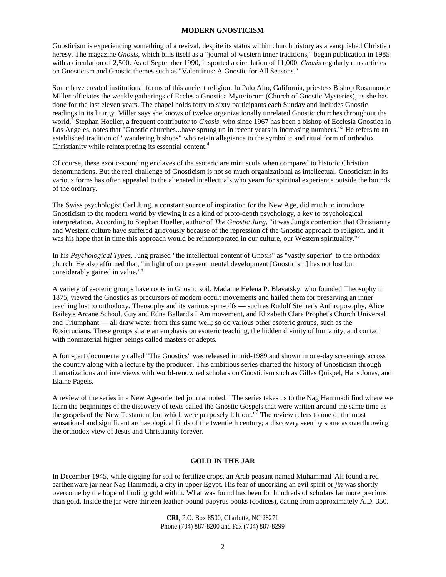#### **MODERN GNOSTICISM**

Gnosticism is experiencing something of a revival, despite its status within church history as a vanquished Christian heresy. The magazine *Gnosis,* which bills itself as a "journal of western inner traditions," began publication in 1985 with a circulation of 2,500. As of September 1990, it sported a circulation of 11,000. *Gnosis* regularly runs articles on Gnosticism and Gnostic themes such as "Valentinus: A Gnostic for All Seasons."

Some have created institutional forms of this ancient religion. In Palo Alto, California, priestess Bishop Rosamonde Miller officiates the weekly gatherings of Ecclesia Gnostica Myteriorum (Church of Gnostic Mysteries), as she has done for the last eleven years. The chapel holds forty to sixty participants each Sunday and includes Gnostic readings in its liturgy. Miller says she knows of twelve organizationally unrelated Gnostic churches throughout the world.<sup>2</sup> Stephan Hoeller, a frequent contributor to *Gnosis*, who since 1967 has been a bishop of Ecclesia Gnostica in Los Angeles, notes that "Gnostic churches...have sprung up in recent years in increasing numbers."<sup>3</sup> He refers to an established tradition of "wandering bishops" who retain allegiance to the symbolic and ritual form of orthodox Christianity while reinterpreting its essential content.<sup>4</sup>

Of course, these exotic-sounding enclaves of the esoteric are minuscule when compared to historic Christian denominations. But the real challenge of Gnosticism is not so much organizational as intellectual. Gnosticism in its various forms has often appealed to the alienated intellectuals who yearn for spiritual experience outside the bounds of the ordinary.

The Swiss psychologist Carl Jung, a constant source of inspiration for the New Age, did much to introduce Gnosticism to the modern world by viewing it as a kind of proto-depth psychology, a key to psychological interpretation. According to Stephan Hoeller, author of *The Gnostic Jung,* "it was Jung's contention that Christianity and Western culture have suffered grievously because of the repression of the Gnostic approach to religion, and it was his hope that in time this approach would be reincorporated in our culture, our Western spirituality."<sup>5</sup>

In his *Psychological Types,* Jung praised "the intellectual content of Gnosis" as "vastly superior" to the orthodox church. He also affirmed that, "in light of our present mental development [Gnosticism] has not lost but considerably gained in value."<sup>6</sup>

A variety of esoteric groups have roots in Gnostic soil. Madame Helena P. Blavatsky, who founded Theosophy in 1875, viewed the Gnostics as precursors of modern occult movements and hailed them for preserving an inner teaching lost to orthodoxy. Theosophy and its various spin-offs — such as Rudolf Steiner's Anthroposophy, Alice Bailey's Arcane School, Guy and Edna Ballard's I Am movement, and Elizabeth Clare Prophet's Church Universal and Triumphant — all draw water from this same well; so do various other esoteric groups, such as the Rosicrucians. These groups share an emphasis on esoteric teaching, the hidden divinity of humanity, and contact with nonmaterial higher beings called masters or adepts.

A four-part documentary called "The Gnostics" was released in mid-1989 and shown in one-day screenings across the country along with a lecture by the producer. This ambitious series charted the history of Gnosticism through dramatizations and interviews with world-renowned scholars on Gnosticism such as Gilles Quispel, Hans Jonas, and Elaine Pagels.

A review of the series in a New Age-oriented journal noted: "The series takes us to the Nag Hammadi find where we learn the beginnings of the discovery of texts called the Gnostic Gospels that were written around the same time as the gospels of the New Testament but which were purposely left out."<sup>7</sup> The review refers to one of the most sensational and significant archaeological finds of the twentieth century; a discovery seen by some as overthrowing the orthodox view of Jesus and Christianity forever.

#### **GOLD IN THE JAR**

In December 1945, while digging for soil to fertilize crops, an Arab peasant named Muhammad 'Ali found a red earthenware jar near Nag Hammadi, a city in upper Egypt. His fear of uncorking an evil spirit or *jin* was shortly overcome by the hope of finding gold within. What was found has been for hundreds of scholars far more precious than gold. Inside the jar were thirteen leather-bound papyrus books (codices), dating from approximately A.D. 350.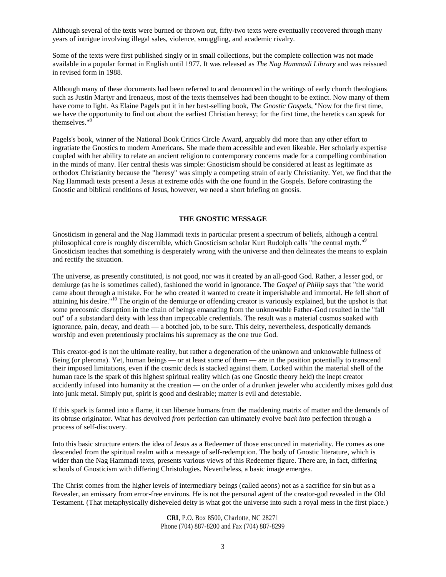Although several of the texts were burned or thrown out, fifty-two texts were eventually recovered through many years of intrigue involving illegal sales, violence, smuggling, and academic rivalry.

Some of the texts were first published singly or in small collections, but the complete collection was not made available in a popular format in English until 1977. It was released as *The Nag Hammadi Library* and was reissued in revised form in 1988.

Although many of these documents had been referred to and denounced in the writings of early church theologians such as Justin Martyr and Irenaeus, most of the texts themselves had been thought to be extinct. Now many of them have come to light. As Elaine Pagels put it in her best-selling book, *The Gnostic Gospels,* "Now for the first time, we have the opportunity to find out about the earliest Christian heresy; for the first time, the heretics can speak for themselves."<sup>8</sup>

Pagels's book, winner of the National Book Critics Circle Award, arguably did more than any other effort to ingratiate the Gnostics to modern Americans. She made them accessible and even likeable. Her scholarly expertise coupled with her ability to relate an ancient religion to contemporary concerns made for a compelling combination in the minds of many. Her central thesis was simple: Gnosticism should be considered at least as legitimate as orthodox Christianity because the "heresy" was simply a competing strain of early Christianity. Yet, we find that the Nag Hammadi texts present a Jesus at extreme odds with the one found in the Gospels. Before contrasting the Gnostic and biblical renditions of Jesus, however, we need a short briefing on gnosis.

#### **THE GNOSTIC MESSAGE**

Gnosticism in general and the Nag Hammadi texts in particular present a spectrum of beliefs, although a central philosophical core is roughly discernible, which Gnosticism scholar Kurt Rudolph calls "the central myth."<sup>9</sup> Gnosticism teaches that something is desperately wrong with the universe and then delineates the means to explain and rectify the situation.

The universe, as presently constituted, is not good, nor was it created by an all-good God. Rather, a lesser god, or demiurge (as he is sometimes called), fashioned the world in ignorance. The *Gospel of Philip* says that "the world came about through a mistake. For he who created it wanted to create it imperishable and immortal. He fell short of attaining his desire."<sup>10</sup> The origin of the demiurge or offending creator is variously explained, but the upshot is that some precosmic disruption in the chain of beings emanating from the unknowable Father-God resulted in the "fall out" of a substandard deity with less than impeccable credentials. The result was a material cosmos soaked with ignorance, pain, decay, and death — a botched job, to be sure. This deity, nevertheless, despotically demands worship and even pretentiously proclaims his supremacy as the one true God.

This creator-god is not the ultimate reality, but rather a degeneration of the unknown and unknowable fullness of Being (or pleroma). Yet, human beings — or at least some of them — are in the position potentially to transcend their imposed limitations, even if the cosmic deck is stacked against them. Locked within the material shell of the human race is the spark of this highest spiritual reality which (as one Gnostic theory held) the inept creator accidently infused into humanity at the creation — on the order of a drunken jeweler who accidently mixes gold dust into junk metal. Simply put, spirit is good and desirable; matter is evil and detestable.

If this spark is fanned into a flame, it can liberate humans from the maddening matrix of matter and the demands of its obtuse originator. What has devolved *from* perfection can ultimately evolve *back into* perfection through a process of self-discovery.

Into this basic structure enters the idea of Jesus as a Redeemer of those ensconced in materiality. He comes as one descended from the spiritual realm with a message of self-redemption. The body of Gnostic literature, which is wider than the Nag Hammadi texts, presents various views of this Redeemer figure. There are, in fact, differing schools of Gnosticism with differing Christologies. Nevertheless, a basic image emerges.

The Christ comes from the higher levels of intermediary beings (called aeons) not as a sacrifice for sin but as a Revealer, an emissary from error-free environs. He is not the personal agent of the creator-god revealed in the Old Testament. (That metaphysically disheveled deity is what got the universe into such a royal mess in the first place.)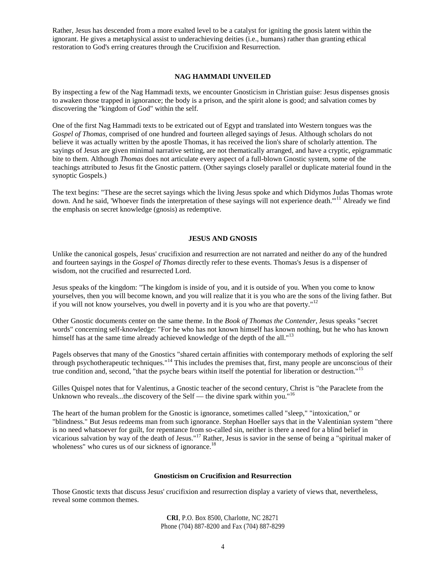Rather, Jesus has descended from a more exalted level to be a catalyst for igniting the gnosis latent within the ignorant. He gives a metaphysical assist to underachieving deities (i.e., humans) rather than granting ethical restoration to God's erring creatures through the Crucifixion and Resurrection.

## **NAG HAMMADI UNVEILED**

By inspecting a few of the Nag Hammadi texts, we encounter Gnosticism in Christian guise: Jesus dispenses gnosis to awaken those trapped in ignorance; the body is a prison, and the spirit alone is good; and salvation comes by discovering the "kingdom of God" within the self.

One of the first Nag Hammadi texts to be extricated out of Egypt and translated into Western tongues was the *Gospel of Thomas,* comprised of one hundred and fourteen alleged sayings of Jesus. Although scholars do not believe it was actually written by the apostle Thomas, it has received the lion's share of scholarly attention. The sayings of Jesus are given minimal narrative setting, are not thematically arranged, and have a cryptic, epigrammatic bite to them. Although *Thomas* does not articulate every aspect of a full-blown Gnostic system, some of the teachings attributed to Jesus fit the Gnostic pattern. (Other sayings closely parallel or duplicate material found in the synoptic Gospels.)

The text begins: "These are the secret sayings which the living Jesus spoke and which Didymos Judas Thomas wrote down. And he said, 'Whoever finds the interpretation of these sayings will not experience death."<sup>11</sup> Already we find the emphasis on secret knowledge (gnosis) as redemptive.

#### **JESUS AND GNOSIS**

Unlike the canonical gospels, Jesus' crucifixion and resurrection are not narrated and neither do any of the hundred and fourteen sayings in the *Gospel of Thomas* directly refer to these events. Thomas's Jesus is a dispenser of wisdom, not the crucified and resurrected Lord.

Jesus speaks of the kingdom: "The kingdom is inside of you, and it is outside of you. When you come to know yourselves, then you will become known, and you will realize that it is you who are the sons of the living father. But if you will not know yourselves, you dwell in poverty and it is you who are that poverty."<sup>12</sup>

Other Gnostic documents center on the same theme. In the *Book of Thomas the Contender,* Jesus speaks "secret words" concerning self-knowledge: "For he who has not known himself has known nothing, but he who has known himself has at the same time already achieved knowledge of the depth of the all."<sup>13</sup>

Pagels observes that many of the Gnostics "shared certain affinities with contemporary methods of exploring the self through psychotherapeutic techniques."<sup>14</sup> This includes the premises that, first, many people are unconscious of their true condition and, second, "that the psyche bears within itself the potential for liberation or destruction."<sup>15</sup>

Gilles Quispel notes that for Valentinus, a Gnostic teacher of the second century, Christ is "the Paraclete from the Unknown who reveals...the discovery of the Self — the divine spark within you."<sup>16</sup>

The heart of the human problem for the Gnostic is ignorance, sometimes called "sleep," "intoxication," or "blindness." But Jesus redeems man from such ignorance. Stephan Hoeller says that in the Valentinian system "there is no need whatsoever for guilt, for repentance from so-called sin, neither is there a need for a blind belief in vicarious salvation by way of the death of Jesus."<sup>17</sup> Rather, Jesus is savior in the sense of being a "spiritual maker of wholeness" who cures us of our sickness of ignorance.<sup>18</sup>

#### **Gnosticism on Crucifixion and Resurrection**

Those Gnostic texts that discuss Jesus' crucifixion and resurrection display a variety of views that, nevertheless, reveal some common themes.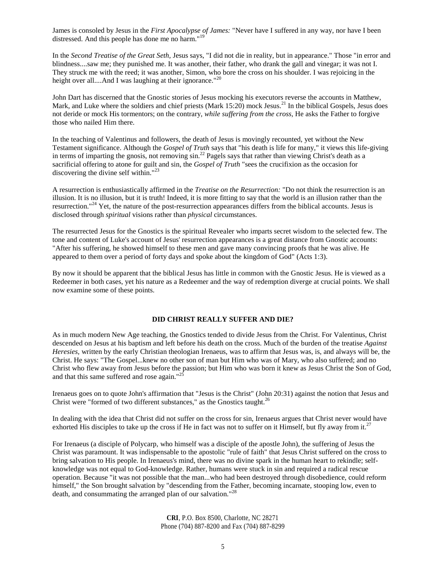James is consoled by Jesus in the *First Apocalypse of James:* "Never have I suffered in any way, nor have I been distressed. And this people has done me no harm." $1$ 

In the *Second Treatise of the Great Seth,* Jesus says, "I did not die in reality, but in appearance." Those "in error and blindness....saw me; they punished me. It was another, their father, who drank the gall and vinegar; it was not I. They struck me with the reed; it was another, Simon, who bore the cross on his shoulder. I was rejoicing in the height over all....And I was laughing at their ignorance."<sup>20</sup>

John Dart has discerned that the Gnostic stories of Jesus mocking his executors reverse the accounts in Matthew, Mark, and Luke where the soldiers and chief priests (Mark 15:20) mock Jesus.<sup>21</sup> In the biblical Gospels, Jesus does not deride or mock His tormentors; on the contrary, *while suffering from the cross,* He asks the Father to forgive those who nailed Him there.

In the teaching of Valentinus and followers, the death of Jesus is movingly recounted, yet without the New Testament significance. Although the *Gospel of Truth* says that "his death is life for many," it views this life-giving in terms of imparting the gnosis, not removing sin.<sup>22</sup> Pagels says that rather than viewing Christ's death as a sacrificial offering to atone for guilt and sin, the *Gospel of Truth* "sees the crucifixion as the occasion for discovering the divine self within."<sup>23</sup>

A resurrection is enthusiastically affirmed in the *Treatise on the Resurrection:* "Do not think the resurrection is an illusion. It is no illusion, but it is truth! Indeed, it is more fitting to say that the world is an illusion rather than the resurrection."<sup>24</sup> Yet, the nature of the post-resurrection appearances differs from the biblical accounts. Jesus is disclosed through *spiritual* visions rather than *physical* circumstances.

The resurrected Jesus for the Gnostics is the spiritual Revealer who imparts secret wisdom to the selected few. The tone and content of Luke's account of Jesus' resurrection appearances is a great distance from Gnostic accounts: "After his suffering, he showed himself to these men and gave many convincing proofs that he was alive. He appeared to them over a period of forty days and spoke about the kingdom of God" (Acts 1:3).

By now it should be apparent that the biblical Jesus has little in common with the Gnostic Jesus. He is viewed as a Redeemer in both cases, yet his nature as a Redeemer and the way of redemption diverge at crucial points. We shall now examine some of these points.

#### **DID CHRIST REALLY SUFFER AND DIE?**

As in much modern New Age teaching, the Gnostics tended to divide Jesus from the Christ. For Valentinus, Christ descended on Jesus at his baptism and left before his death on the cross. Much of the burden of the treatise *Against Heresies,* written by the early Christian theologian Irenaeus, was to affirm that Jesus was, is, and always will be, the Christ. He says: "The Gospel...knew no other son of man but Him who was of Mary, who also suffered; and no Christ who flew away from Jesus before the passion; but Him who was born it knew as Jesus Christ the Son of God, and that this same suffered and rose again."<sup>2</sup>

Irenaeus goes on to quote John's affirmation that "Jesus is the Christ" (John 20:31) against the notion that Jesus and Christ were "formed of two different substances," as the Gnostics taught.<sup>26</sup>

In dealing with the idea that Christ did not suffer on the cross for sin, Irenaeus argues that Christ never would have exhorted His disciples to take up the cross if He in fact was not to suffer on it Himself, but fly away from it.<sup>27</sup>

For Irenaeus (a disciple of Polycarp, who himself was a disciple of the apostle John), the suffering of Jesus the Christ was paramount. It was indispensable to the apostolic "rule of faith" that Jesus Christ suffered on the cross to bring salvation to His people. In Irenaeus's mind, there was no divine spark in the human heart to rekindle; selfknowledge was not equal to God-knowledge. Rather, humans were stuck in sin and required a radical rescue operation. Because "it was not possible that the man...who had been destroyed through disobedience, could reform himself," the Son brought salvation by "descending from the Father, becoming incarnate, stooping low, even to death, and consummating the arranged plan of our salvation."<sup>28</sup>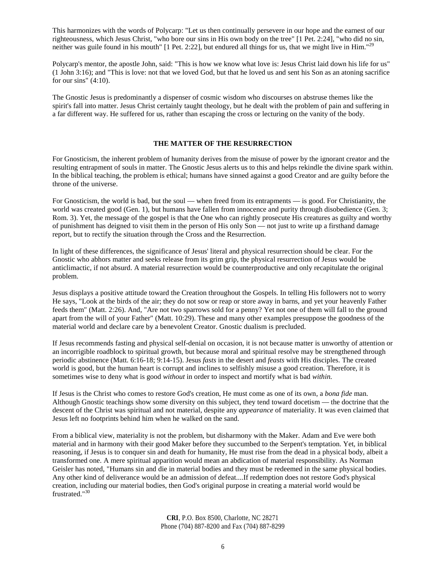This harmonizes with the words of Polycarp: "Let us then continually persevere in our hope and the earnest of our righteousness, which Jesus Christ, "who bore our sins in His own body on the tree" [1 Pet. 2:24], "who did no sin, neither was guile found in his mouth"  $[1$  Pet. 2:22], but endured all things for us, that we might live in Him."<sup>29</sup>

Polycarp's mentor, the apostle John, said: "This is how we know what love is: Jesus Christ laid down his life for us" (1 John 3:16); and "This is love: not that we loved God, but that he loved us and sent his Son as an atoning sacrifice for our sins"  $(4:10)$ .

The Gnostic Jesus is predominantly a dispenser of cosmic wisdom who discourses on abstruse themes like the spirit's fall into matter. Jesus Christ certainly taught theology, but he dealt with the problem of pain and suffering in a far different way. He suffered for us, rather than escaping the cross or lecturing on the vanity of the body.

## **THE MATTER OF THE RESURRECTION**

For Gnosticism, the inherent problem of humanity derives from the misuse of power by the ignorant creator and the resulting entrapment of souls in matter. The Gnostic Jesus alerts us to this and helps rekindle the divine spark within. In the biblical teaching, the problem is ethical; humans have sinned against a good Creator and are guilty before the throne of the universe.

For Gnosticism, the world is bad, but the soul — when freed from its entrapments — is good. For Christianity, the world was created good (Gen. 1), but humans have fallen from innocence and purity through disobedience (Gen. 3; Rom. 3). Yet, the message of the gospel is that the One who can rightly prosecute His creatures as guilty and worthy of punishment has deigned to visit them in the person of His only Son — not just to write up a firsthand damage report, but to rectify the situation through the Cross and the Resurrection.

In light of these differences, the significance of Jesus' literal and physical resurrection should be clear. For the Gnostic who abhors matter and seeks release from its grim grip, the physical resurrection of Jesus would be anticlimactic, if not absurd. A material resurrection would be counterproductive and only recapitulate the original problem.

Jesus displays a positive attitude toward the Creation throughout the Gospels. In telling His followers not to worry He says, "Look at the birds of the air; they do not sow or reap or store away in barns, and yet your heavenly Father feeds them" (Matt. 2:26). And, "Are not two sparrows sold for a penny? Yet not one of them will fall to the ground apart from the will of your Father" (Matt. 10:29). These and many other examples presuppose the goodness of the material world and declare care by a benevolent Creator. Gnostic dualism is precluded.

If Jesus recommends fasting and physical self-denial on occasion, it is not because matter is unworthy of attention or an incorrigible roadblock to spiritual growth, but because moral and spiritual resolve may be strengthened through periodic abstinence (Matt. 6:16-18; 9:14-15). Jesus *fasts* in the desert and *feasts* with His disciples. The created world is good, but the human heart is corrupt and inclines to selfishly misuse a good creation. Therefore, it is sometimes wise to deny what is good *without* in order to inspect and mortify what is bad *within.*

If Jesus is the Christ who comes to restore God's creation, He must come as one of its own, a *bona fide* man. Although Gnostic teachings show some diversity on this subject, they tend toward docetism — the doctrine that the descent of the Christ was spiritual and not material, despite any *appearance* of materiality. It was even claimed that Jesus left no footprints behind him when he walked on the sand.

From a biblical view, materiality is not the problem, but disharmony with the Maker. Adam and Eve were both material and in harmony with their good Maker before they succumbed to the Serpent's temptation. Yet, in biblical reasoning, if Jesus is to conquer sin and death for humanity, He must rise from the dead in a physical body, albeit a transformed one. A mere spiritual apparition would mean an abdication of material responsibility. As Norman Geisler has noted, "Humans sin and die in material bodies and they must be redeemed in the same physical bodies. Any other kind of deliverance would be an admission of defeat....If redemption does not restore God's physical creation, including our material bodies, then God's original purpose in creating a material world would be frustrated."<sup>30</sup>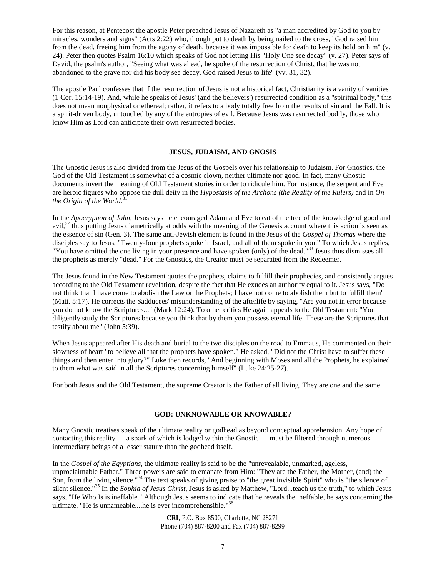For this reason, at Pentecost the apostle Peter preached Jesus of Nazareth as "a man accredited by God to you by miracles, wonders and signs" (Acts 2:22) who, though put to death by being nailed to the cross, "God raised him from the dead, freeing him from the agony of death, because it was impossible for death to keep its hold on him" (v. 24). Peter then quotes Psalm 16:10 which speaks of God not letting His "Holy One see decay" (v. 27). Peter says of David, the psalm's author, "Seeing what was ahead, he spoke of the resurrection of Christ, that he was not abandoned to the grave nor did his body see decay. God raised Jesus to life" (vv. 31, 32).

The apostle Paul confesses that if the resurrection of Jesus is not a historical fact, Christianity is a vanity of vanities (1 Cor. 15:14-19). And, while he speaks of Jesus' (and the believers') resurrected condition as a "spiritual body," this does not mean nonphysical or ethereal; rather, it refers to a body totally free from the results of sin and the Fall. It is a spirit-driven body, untouched by any of the entropies of evil. Because Jesus was resurrected bodily, those who know Him as Lord can anticipate their own resurrected bodies.

#### **JESUS, JUDAISM, AND GNOSIS**

The Gnostic Jesus is also divided from the Jesus of the Gospels over his relationship to Judaism. For Gnostics, the God of the Old Testament is somewhat of a cosmic clown, neither ultimate nor good. In fact, many Gnostic documents invert the meaning of Old Testament stories in order to ridicule him. For instance, the serpent and Eve are heroic figures who oppose the dull deity in the *Hypostasis of the Archons (the Reality of the Rulers)* and in *On the Origin of the World.*<sup>3</sup>

In the *Apocryphon of John,* Jesus says he encouraged Adam and Eve to eat of the tree of the knowledge of good and  $evil$ <sup>32</sup>,<sup>32</sup> thus putting Jesus diametrically at odds with the meaning of the Genesis account where this action is seen as the essence of sin (Gen. 3). The same anti-Jewish element is found in the Jesus of the *Gospel of Thomas* where the disciples say to Jesus, "Twenty-four prophets spoke in Israel, and all of them spoke in you." To which Jesus replies, "You have omitted the one living in your presence and have spoken (only) of the dead."<sup>33</sup> Jesus thus dismisses all the prophets as merely "dead." For the Gnostics, the Creator must be separated from the Redeemer.

The Jesus found in the New Testament quotes the prophets, claims to fulfill their prophecies, and consistently argues according to the Old Testament revelation, despite the fact that He exudes an authority equal to it. Jesus says, "Do not think that I have come to abolish the Law or the Prophets; I have not come to abolish them but to fulfill them" (Matt. 5:17). He corrects the Sadducees' misunderstanding of the afterlife by saying, "Are you not in error because you do not know the Scriptures..." (Mark 12:24). To other critics He again appeals to the Old Testament: "You diligently study the Scriptures because you think that by them you possess eternal life. These are the Scriptures that testify about me" (John 5:39).

When Jesus appeared after His death and burial to the two disciples on the road to Emmaus, He commented on their slowness of heart "to believe all that the prophets have spoken." He asked, "Did not the Christ have to suffer these things and then enter into glory?" Luke then records, "And beginning with Moses and all the Prophets, he explained to them what was said in all the Scriptures concerning himself" (Luke 24:25-27).

For both Jesus and the Old Testament, the supreme Creator is the Father of all living. They are one and the same.

#### **GOD: UNKNOWABLE OR KNOWABLE?**

Many Gnostic treatises speak of the ultimate reality or godhead as beyond conceptual apprehension. Any hope of contacting this reality — a spark of which is lodged within the Gnostic — must be filtered through numerous intermediary beings of a lesser stature than the godhead itself.

In the *Gospel of the Egyptians,* the ultimate reality is said to be the "unrevealable, unmarked, ageless, unproclaimable Father." Three powers are said to emanate from Him: "They are the Father, the Mother, (and) the Son, from the living silence."<sup>34</sup> The text speaks of giving praise to "the great invisible Spirit" who is "the silence of silent silence."<sup>35</sup> In the *Sophia of Jesus Christ,* Jesus is asked by Matthew, "Lord...teach us the truth," to which Jesus says, "He Who Is is ineffable." Although Jesus seems to indicate that he reveals the ineffable, he says concerning the ultimate, "He is unnameable....he is ever incomprehensible."<sup>36</sup>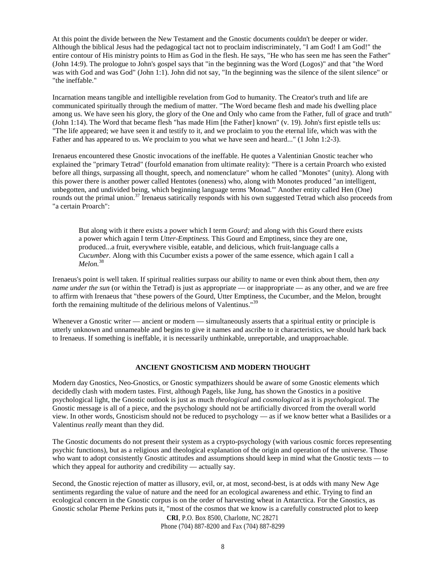At this point the divide between the New Testament and the Gnostic documents couldn't be deeper or wider. Although the biblical Jesus had the pedagogical tact not to proclaim indiscriminately, "I am God! I am God!" the entire contour of His ministry points to Him as God in the flesh. He says, "He who has seen me has seen the Father" (John 14:9). The prologue to John's gospel says that "in the beginning was the Word (Logos)" and that "the Word was with God and was God" (John 1:1). John did not say, "In the beginning was the silence of the silent silence" or "the ineffable."

Incarnation means tangible and intelligible revelation from God to humanity. The Creator's truth and life are communicated spiritually through the medium of matter. "The Word became flesh and made his dwelling place among us. We have seen his glory, the glory of the One and Only who came from the Father, full of grace and truth" (John 1:14). The Word that became flesh "has made Him [the Father] known" (v. 19). John's first epistle tells us: "The life appeared; we have seen it and testify to it, and we proclaim to you the eternal life, which was with the Father and has appeared to us. We proclaim to you what we have seen and heard..." (1 John 1:2-3).

Irenaeus encountered these Gnostic invocations of the ineffable. He quotes a Valentinian Gnostic teacher who explained the "primary Tetrad" (fourfold emanation from ultimate reality): "There is a certain Proarch who existed before all things, surpassing all thought, speech, and nomenclature" whom he called "Monotes" (unity). Along with this power there is another power called Hentotes (oneness) who, along with Monotes produced "an intelligent, unbegotten, and undivided being, which beginning language terms 'Monad.'" Another entity called Hen (One) rounds out the primal union.<sup>37</sup> Irenaeus satirically responds with his own suggested Tetrad which also proceeds from "a certain Proarch":

But along with it there exists a power which I term *Gourd;* and along with this Gourd there exists a power which again I term *Utter-Emptiness.* This Gourd and Emptiness, since they are one, produced...a fruit, everywhere visible, eatable, and delicious, which fruit-language calls a *Cucumber.* Along with this Cucumber exists a power of the same essence, which again I call a *Melon.*<sup>38</sup>

Irenaeus's point is well taken. If spiritual realities surpass our ability to name or even think about them, then *any name under the sun* (or within the Tetrad) is just as appropriate — or inappropriate — as any other, and we are free to affirm with Irenaeus that "these powers of the Gourd, Utter Emptiness, the Cucumber, and the Melon, brought forth the remaining multitude of the delirious melons of Valentinus."<sup>39</sup>

Whenever a Gnostic writer — ancient or modern — simultaneously asserts that a spiritual entity or principle is utterly unknown and unnameable and begins to give it names and ascribe to it characteristics, we should hark back to Irenaeus. If something is ineffable, it is necessarily unthinkable, unreportable, and unapproachable.

#### **ANCIENT GNOSTICISM AND MODERN THOUGHT**

Modern day Gnostics, Neo-Gnostics, or Gnostic sympathizers should be aware of some Gnostic elements which decidedly clash with modern tastes. First, although Pagels, like Jung, has shown the Gnostics in a positive psychological light, the Gnostic outlook is just as much *theological* and *cosmological* as it is *psychological.* The Gnostic message is all of a piece, and the psychology should not be artificially divorced from the overall world view. In other words, Gnosticism should not be reduced to psychology — as if we know better what a Basilides or a Valentinus *really* meant than they did.

The Gnostic documents do not present their system as a crypto-psychology (with various cosmic forces representing psychic functions), but as a religious and theological explanation of the origin and operation of the universe. Those who want to adopt consistently Gnostic attitudes and assumptions should keep in mind what the Gnostic texts — to which they appeal for authority and credibility — actually say.

Second, the Gnostic rejection of matter as illusory, evil, or, at most, second-best, is at odds with many New Age sentiments regarding the value of nature and the need for an ecological awareness and ethic. Trying to find an ecological concern in the Gnostic corpus is on the order of harvesting wheat in Antarctica. For the Gnostics, as Gnostic scholar Pheme Perkins puts it, "most of the cosmos that we know is a carefully constructed plot to keep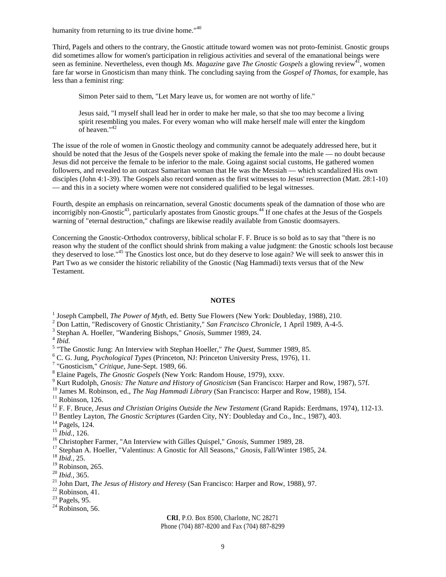humanity from returning to its true divine home."<sup>40</sup>

Third, Pagels and others to the contrary, the Gnostic attitude toward women was not proto-feminist. Gnostic groups did sometimes allow for women's participation in religious activities and several of the emanational beings were seen as feminine. Nevertheless, even though *Ms. Magazine* gave *The Gnostic Gospels* a glowing review<sup>41</sup>, women fare far worse in Gnosticism than many think. The concluding saying from the *Gospel of Thomas,* for example, has less than a feminist ring:

Simon Peter said to them, "Let Mary leave us, for women are not worthy of life."

Jesus said, "I myself shall lead her in order to make her male, so that she too may become a living spirit resembling you males. For every woman who will make herself male will enter the kingdom of heaven."<sup>42</sup>

The issue of the role of women in Gnostic theology and community cannot be adequately addressed here, but it should be noted that the Jesus of the Gospels never spoke of making the female into the male — no doubt because Jesus did not perceive the female to be inferior to the male. Going against social customs, He gathered women followers, and revealed to an outcast Samaritan woman that He was the Messiah — which scandalized His own disciples (John 4:1-39). The Gospels also record women as the first witnesses to Jesus' resurrection (Matt. 28:1-10) — and this in a society where women were not considered qualified to be legal witnesses.

Fourth, despite an emphasis on reincarnation, several Gnostic documents speak of the damnation of those who are incorrigibly non-Gnostic<sup>43</sup>, particularly apostates from Gnostic groups.<sup>44</sup> If one chafes at the Jesus of the Gospels warning of "eternal destruction," chafings are likewise readily available from Gnostic doomsayers.

Concerning the Gnostic-Orthodox controversy, biblical scholar F. F. Bruce is so bold as to say that "there is no reason why the student of the conflict should shrink from making a value judgment: the Gnostic schools lost because they deserved to lose."<sup>45</sup> The Gnostics lost once, but do they deserve to lose again? We will seek to answer this in Part Two as we consider the historic reliability of the Gnostic (Nag Hammadi) texts versus that of the New Testament.

#### **NOTES**

<sup>1</sup> Joseph Campbell, *The Power of Myth*, ed. Betty Sue Flowers (New York: Doubleday, 1988), 210.

<sup>2</sup> Don Lattin, "Rediscovery of Gnostic Christianity," *San Francisco Chronicle,* 1 April 1989, A-4-5.

3 Stephan A. Hoeller, "Wandering Bishops," *Gnosis,* Summer 1989, 24.

5 "The Gnostic Jung: An Interview with Stephan Hoeller," *The Quest,* Summer 1989, 85.

<sup>6</sup> C. G. Jung, *Psychological Types* (Princeton, NJ: Princeton University Press, 1976), 11.

7 "Gnosticism," *Critique,* June-Sept. 1989, 66.

<sup>8</sup> Elaine Pagels, *The Gnostic Gospels* (New York: Random House, 1979), xxxv.

- <sup>9</sup> Kurt Rudolph, *Gnosis: The Nature and History of Gnosticism* (San Francisco: Harper and Row, 1987), 57f.
- <sup>10</sup> James M. Robinson, ed., *The Nag Hammadi Library* (San Francisco: Harper and Row, 1988), 154.

- <sup>12</sup> F. F. Bruce, *Jesus and Christian Origins Outside the New Testament* (Grand Rapids: Eerdmans, 1974), 112-13.
- <sup>13</sup> Bentley Layton, *The Gnostic Scriptures* (Garden City, NY: Doubleday and Co., Inc., 1987), 403.

<sup>17</sup> Stephan A. Hoeller, "Valentinus: A Gnostic for All Seasons," *Gnosis,* Fall/Winter 1985, 24.

# **CRI**, P.O. Box 8500, Charlotte, NC 28271

Phone (704) 887-8200 and Fax (704) 887-8299

<sup>4</sup> *Ibid.*

 $11$  Robinson, 126.

<sup>&</sup>lt;sup>14</sup> Pagels, 124.

<sup>15</sup> *Ibid.,* 126.

<sup>16</sup> Christopher Farmer, "An Interview with Gilles Quispel," *Gnosis,* Summer 1989, 28.

<sup>18</sup> *Ibid.,* 25.

 $19$  Robinson, 265.

<sup>20</sup> *Ibid.,* 365.

<sup>21</sup> John Dart, *The Jesus of History and Heresy* (San Francisco: Harper and Row, 1988), 97.

 $22$  Robinson, 41.

 $23$  Pagels, 95.

 $24$  Robinson, 56.